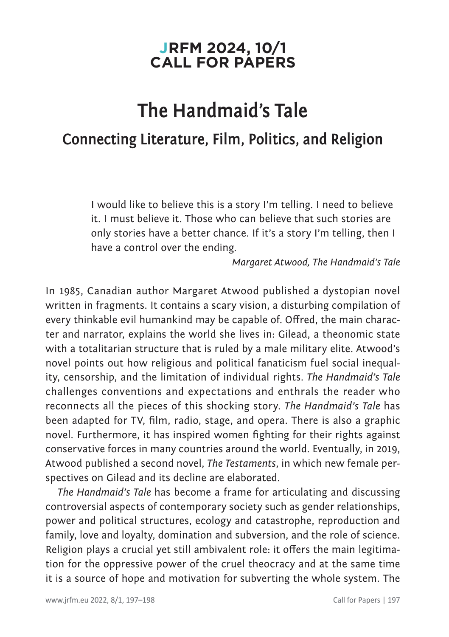## **JRFM 2024, 10/1 CALL FOR PAPERS**

## **The Handmaid's Tale Connecting Literature, Film, Politics, and Religion**

I would like to believe this is a story I'm telling. I need to believe it. I must believe it. Those who can believe that such stories are only stories have a better chance. If it's a story I'm telling, then I have a control over the ending.

*Margaret Atwood, The Handmaid's Tale*

In 1985, Canadian author Margaret Atwood published a dystopian novel written in fragments. It contains a scary vision, a disturbing compilation of every thinkable evil humankind may be capable of. Offred, the main character and narrator, explains the world she lives in: Gilead, a theonomic state with a totalitarian structure that is ruled by a male military elite. Atwood's novel points out how religious and political fanaticism fuel social inequality, censorship, and the limitation of individual rights. *The Handmaid's Tale*  challenges conventions and expectations and enthrals the reader who reconnects all the pieces of this shocking story. *The Handmaid's Tale* has been adapted for TV, film, radio, stage, and opera. There is also a graphic novel. Furthermore, it has inspired women fighting for their rights against conservative forces in many countries around the world. Eventually, in 2019, Atwood published a second novel, *The Testaments*, in which new female perspectives on Gilead and its decline are elaborated.

*The Handmaid's Tale* has become a frame for articulating and discussing controversial aspects of contemporary society such as gender relationships, power and political structures, ecology and catastrophe, reproduction and family, love and loyalty, domination and subversion, and the role of science. Religion plays a crucial yet still ambivalent role: it offers the main legitimation for the oppressive power of the cruel theocracy and at the same time it is a source of hope and motivation for subverting the whole system. The